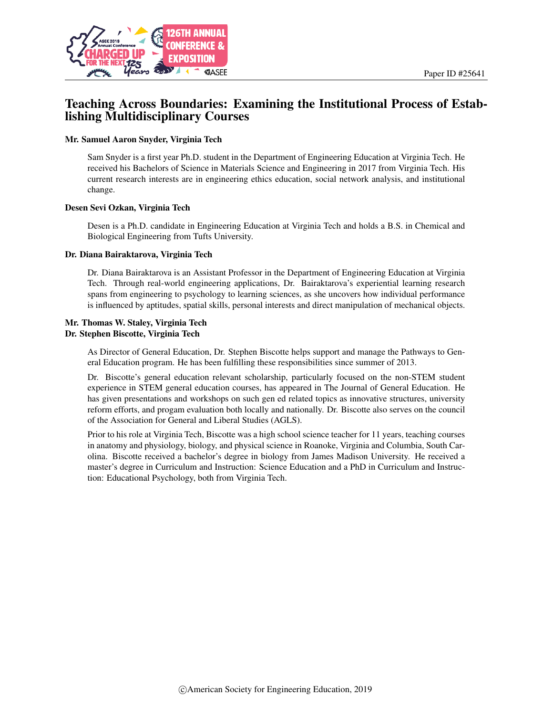

# Teaching Across Boundaries: Examining the Institutional Process of Establishing Multidisciplinary Courses

#### Mr. Samuel Aaron Snyder, Virginia Tech

Sam Snyder is a first year Ph.D. student in the Department of Engineering Education at Virginia Tech. He received his Bachelors of Science in Materials Science and Engineering in 2017 from Virginia Tech. His current research interests are in engineering ethics education, social network analysis, and institutional change.

#### Desen Sevi Ozkan, Virginia Tech

Desen is a Ph.D. candidate in Engineering Education at Virginia Tech and holds a B.S. in Chemical and Biological Engineering from Tufts University.

#### Dr. Diana Bairaktarova, Virginia Tech

Dr. Diana Bairaktarova is an Assistant Professor in the Department of Engineering Education at Virginia Tech. Through real-world engineering applications, Dr. Bairaktarova's experiential learning research spans from engineering to psychology to learning sciences, as she uncovers how individual performance is influenced by aptitudes, spatial skills, personal interests and direct manipulation of mechanical objects.

#### Mr. Thomas W. Staley, Virginia Tech Dr. Stephen Biscotte, Virginia Tech

As Director of General Education, Dr. Stephen Biscotte helps support and manage the Pathways to General Education program. He has been fulfilling these responsibilities since summer of 2013.

Dr. Biscotte's general education relevant scholarship, particularly focused on the non-STEM student experience in STEM general education courses, has appeared in The Journal of General Education. He has given presentations and workshops on such gen ed related topics as innovative structures, university reform efforts, and progam evaluation both locally and nationally. Dr. Biscotte also serves on the council of the Association for General and Liberal Studies (AGLS).

Prior to his role at Virginia Tech, Biscotte was a high school science teacher for 11 years, teaching courses in anatomy and physiology, biology, and physical science in Roanoke, Virginia and Columbia, South Carolina. Biscotte received a bachelor's degree in biology from James Madison University. He received a master's degree in Curriculum and Instruction: Science Education and a PhD in Curriculum and Instruction: Educational Psychology, both from Virginia Tech.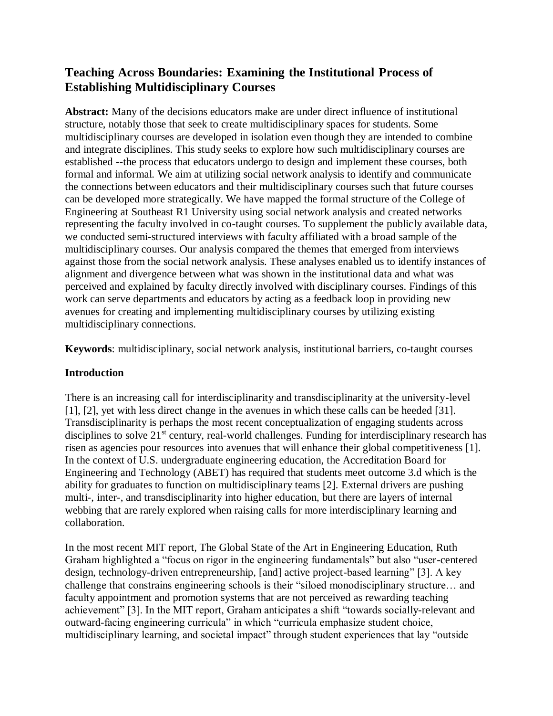# **Teaching Across Boundaries: Examining the Institutional Process of Establishing Multidisciplinary Courses**

**Abstract:** Many of the decisions educators make are under direct influence of institutional structure, notably those that seek to create multidisciplinary spaces for students. Some multidisciplinary courses are developed in isolation even though they are intended to combine and integrate disciplines. This study seeks to explore how such multidisciplinary courses are established --the process that educators undergo to design and implement these courses, both formal and informal. We aim at utilizing social network analysis to identify and communicate the connections between educators and their multidisciplinary courses such that future courses can be developed more strategically. We have mapped the formal structure of the College of Engineering at Southeast R1 University using social network analysis and created networks representing the faculty involved in co-taught courses. To supplement the publicly available data, we conducted semi-structured interviews with faculty affiliated with a broad sample of the multidisciplinary courses. Our analysis compared the themes that emerged from interviews against those from the social network analysis. These analyses enabled us to identify instances of alignment and divergence between what was shown in the institutional data and what was perceived and explained by faculty directly involved with disciplinary courses. Findings of this work can serve departments and educators by acting as a feedback loop in providing new avenues for creating and implementing multidisciplinary courses by utilizing existing multidisciplinary connections.

**Keywords**: multidisciplinary, social network analysis, institutional barriers, co-taught courses

### **Introduction**

There is an increasing call for interdisciplinarity and transdisciplinarity at the university-level [1], [2], yet with less direct change in the avenues in which these calls can be heeded [31]. Transdisciplinarity is perhaps the most recent conceptualization of engaging students across disciplines to solve  $21<sup>st</sup>$  century, real-world challenges. Funding for interdisciplinary research has risen as agencies pour resources into avenues that will enhance their global competitiveness [1]. In the context of U.S. undergraduate engineering education, the Accreditation Board for Engineering and Technology (ABET) has required that students meet outcome 3.d which is the ability for graduates to function on multidisciplinary teams [2]. External drivers are pushing multi-, inter-, and transdisciplinarity into higher education, but there are layers of internal webbing that are rarely explored when raising calls for more interdisciplinary learning and collaboration.

In the most recent MIT report, The Global State of the Art in Engineering Education, Ruth Graham highlighted a "focus on rigor in the engineering fundamentals" but also "user-centered design, technology-driven entrepreneurship, [and] active project-based learning" [3]. A key challenge that constrains engineering schools is their "siloed monodisciplinary structure… and faculty appointment and promotion systems that are not perceived as rewarding teaching achievement" [3]. In the MIT report, Graham anticipates a shift "towards socially-relevant and outward-facing engineering curricula" in which "curricula emphasize student choice, multidisciplinary learning, and societal impact" through student experiences that lay "outside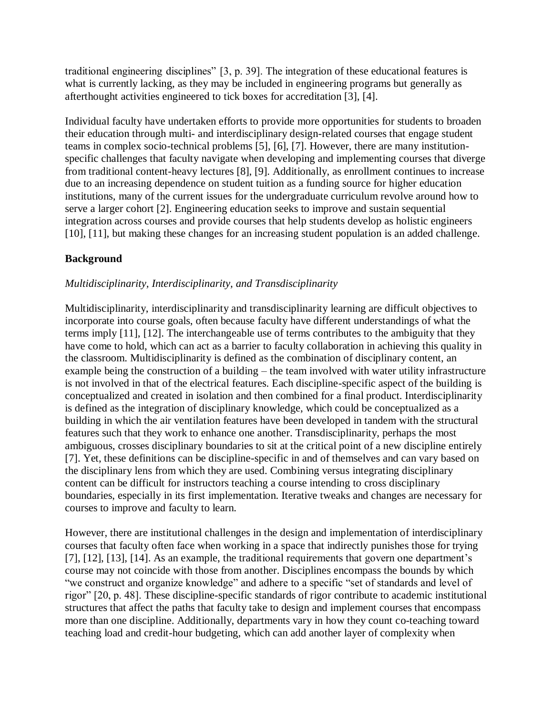traditional engineering disciplines" [3, p. 39]. The integration of these educational features is what is currently lacking, as they may be included in engineering programs but generally as afterthought activities engineered to tick boxes for accreditation [3], [4].

Individual faculty have undertaken efforts to provide more opportunities for students to broaden their education through multi- and interdisciplinary design-related courses that engage student teams in complex socio-technical problems [5], [6], [7]. However, there are many institutionspecific challenges that faculty navigate when developing and implementing courses that diverge from traditional content-heavy lectures [8], [9]. Additionally, as enrollment continues to increase due to an increasing dependence on student tuition as a funding source for higher education institutions, many of the current issues for the undergraduate curriculum revolve around how to serve a larger cohort [2]. Engineering education seeks to improve and sustain sequential integration across courses and provide courses that help students develop as holistic engineers [10], [11], but making these changes for an increasing student population is an added challenge.

### **Background**

### *Multidisciplinarity, Interdisciplinarity, and Transdisciplinarity*

Multidisciplinarity, interdisciplinarity and transdisciplinarity learning are difficult objectives to incorporate into course goals, often because faculty have different understandings of what the terms imply [11], [12]. The interchangeable use of terms contributes to the ambiguity that they have come to hold, which can act as a barrier to faculty collaboration in achieving this quality in the classroom. Multidisciplinarity is defined as the combination of disciplinary content, an example being the construction of a building – the team involved with water utility infrastructure is not involved in that of the electrical features. Each discipline-specific aspect of the building is conceptualized and created in isolation and then combined for a final product. Interdisciplinarity is defined as the integration of disciplinary knowledge, which could be conceptualized as a building in which the air ventilation features have been developed in tandem with the structural features such that they work to enhance one another. Transdisciplinarity, perhaps the most ambiguous, crosses disciplinary boundaries to sit at the critical point of a new discipline entirely [7]. Yet, these definitions can be discipline-specific in and of themselves and can vary based on the disciplinary lens from which they are used. Combining versus integrating disciplinary content can be difficult for instructors teaching a course intending to cross disciplinary boundaries, especially in its first implementation. Iterative tweaks and changes are necessary for courses to improve and faculty to learn.

However, there are institutional challenges in the design and implementation of interdisciplinary courses that faculty often face when working in a space that indirectly punishes those for trying [7], [12], [13], [14]. As an example, the traditional requirements that govern one department's course may not coincide with those from another. Disciplines encompass the bounds by which "we construct and organize knowledge" and adhere to a specific "set of standards and level of rigor" [20, p. 48]. These discipline-specific standards of rigor contribute to academic institutional structures that affect the paths that faculty take to design and implement courses that encompass more than one discipline. Additionally, departments vary in how they count co-teaching toward teaching load and credit-hour budgeting, which can add another layer of complexity when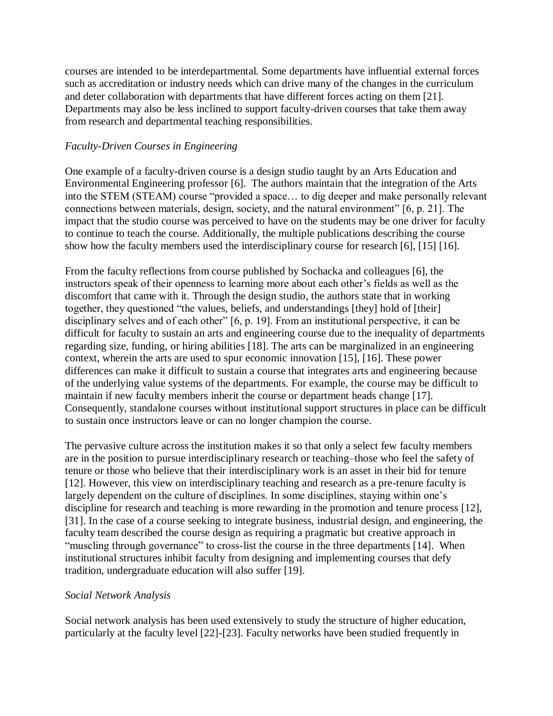courses are intended to be interdepartmental. Some departments have influential external forces such as accreditation or industry needs which can drive many of the changes in the curriculum and deter collaboration with departments that have different forces acting on them [21]. Departments may also be less inclined to support faculty-driven courses that take them away from research and departmental teaching responsibilities.

#### *Faculty-Driven Courses in Engineering*

One example of a faculty-driven course is a design studio taught by an Arts Education and Environmental Engineering professor [6]. The authors maintain that the integration of the Arts into the STEM (STEAM) course "provided a space… to dig deeper and make personally relevant connections between materials, design, society, and the natural environment" [6, p. 21]. The impact that the studio course was perceived to have on the students may be one driver for faculty to continue to teach the course. Additionally, the multiple publications describing the course show how the faculty members used the interdisciplinary course for research [6], [15] [16].

From the faculty reflections from course published by Sochacka and colleagues [6], the instructors speak of their openness to learning more about each other's fields as well as the discomfort that came with it. Through the design studio, the authors state that in working together, they questioned "the values, beliefs, and understandings [they] hold of [their] disciplinary selves and of each other" [6, p. 19]. From an institutional perspective, it can be difficult for faculty to sustain an arts and engineering course due to the inequality of departments regarding size, funding, or hiring abilities [18]. The arts can be marginalized in an engineering context, wherein the arts are used to spur economic innovation [15], [16]. These power differences can make it difficult to sustain a course that integrates arts and engineering because of the underlying value systems of the departments. For example, the course may be difficult to maintain if new faculty members inherit the course or department heads change [17]. Consequently, standalone courses without institutional support structures in place can be difficult to sustain once instructors leave or can no longer champion the course.

The pervasive culture across the institution makes it so that only a select few faculty members are in the position to pursue interdisciplinary research or teaching–those who feel the safety of tenure or those who believe that their interdisciplinary work is an asset in their bid for tenure [12]. However, this view on interdisciplinary teaching and research as a pre-tenure faculty is largely dependent on the culture of disciplines. In some disciplines, staying within one's discipline for research and teaching is more rewarding in the promotion and tenure process [12], [31]. In the case of a course seeking to integrate business, industrial design, and engineering, the faculty team described the course design as requiring a pragmatic but creative approach in "muscling through governance" to cross-list the course in the three departments [14]. When institutional structures inhibit faculty from designing and implementing courses that defy tradition, undergraduate education will also suffer [19].

#### *Social Network Analysis*

Social network analysis has been used extensively to study the structure of higher education, particularly at the faculty level [22]-[23]. Faculty networks have been studied frequently in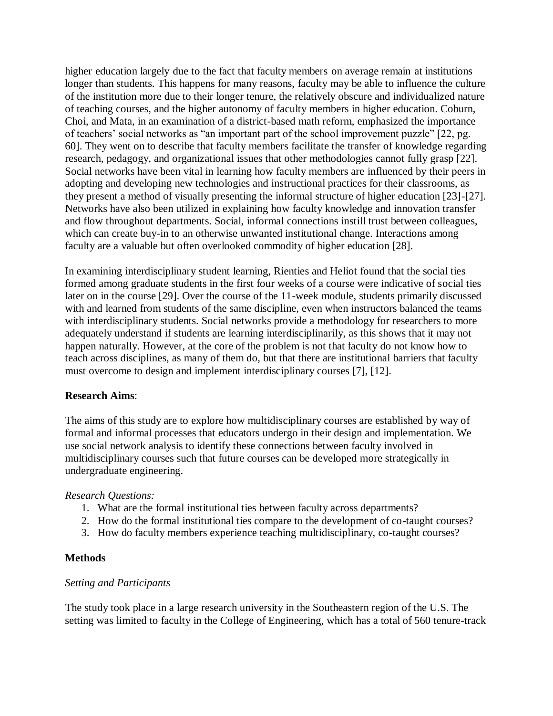higher education largely due to the fact that faculty members on average remain at institutions longer than students. This happens for many reasons, faculty may be able to influence the culture of the institution more due to their longer tenure, the relatively obscure and individualized nature of teaching courses, and the higher autonomy of faculty members in higher education. Coburn, Choi, and Mata, in an examination of a district-based math reform, emphasized the importance of teachers' social networks as "an important part of the school improvement puzzle" [22, pg. 60]. They went on to describe that faculty members facilitate the transfer of knowledge regarding research, pedagogy, and organizational issues that other methodologies cannot fully grasp [22]. Social networks have been vital in learning how faculty members are influenced by their peers in adopting and developing new technologies and instructional practices for their classrooms, as they present a method of visually presenting the informal structure of higher education [23]-[27]. Networks have also been utilized in explaining how faculty knowledge and innovation transfer and flow throughout departments. Social, informal connections instill trust between colleagues, which can create buy-in to an otherwise unwanted institutional change. Interactions among faculty are a valuable but often overlooked commodity of higher education [28].

In examining interdisciplinary student learning, Rienties and Heliot found that the social ties formed among graduate students in the first four weeks of a course were indicative of social ties later on in the course [29]. Over the course of the 11-week module, students primarily discussed with and learned from students of the same discipline, even when instructors balanced the teams with interdisciplinary students. Social networks provide a methodology for researchers to more adequately understand if students are learning interdisciplinarily, as this shows that it may not happen naturally. However, at the core of the problem is not that faculty do not know how to teach across disciplines, as many of them do, but that there are institutional barriers that faculty must overcome to design and implement interdisciplinary courses [7], [12].

#### **Research Aims**:

The aims of this study are to explore how multidisciplinary courses are established by way of formal and informal processes that educators undergo in their design and implementation. We use social network analysis to identify these connections between faculty involved in multidisciplinary courses such that future courses can be developed more strategically in undergraduate engineering.

#### *Research Questions:*

- 1. What are the formal institutional ties between faculty across departments?
- 2. How do the formal institutional ties compare to the development of co-taught courses?
- 3. How do faculty members experience teaching multidisciplinary, co-taught courses?

#### **Methods**

#### *Setting and Participants*

The study took place in a large research university in the Southeastern region of the U.S. The setting was limited to faculty in the College of Engineering, which has a total of 560 tenure-track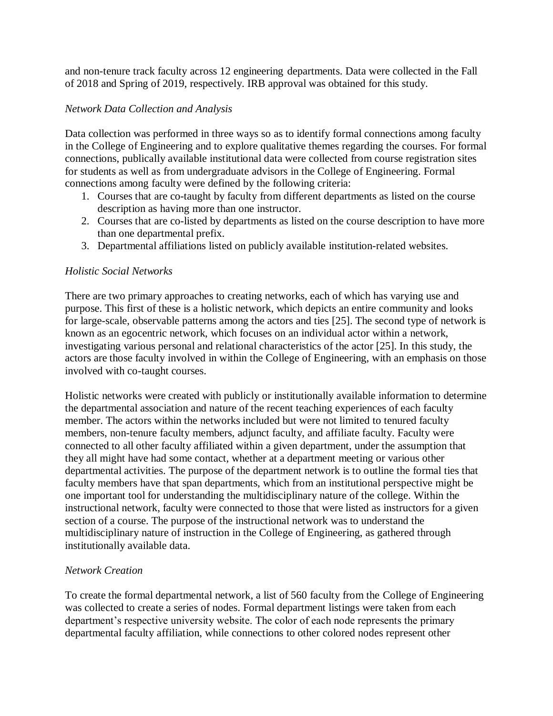and non-tenure track faculty across 12 engineering departments. Data were collected in the Fall of 2018 and Spring of 2019, respectively. IRB approval was obtained for this study.

#### *Network Data Collection and Analysis*

Data collection was performed in three ways so as to identify formal connections among faculty in the College of Engineering and to explore qualitative themes regarding the courses. For formal connections, publically available institutional data were collected from course registration sites for students as well as from undergraduate advisors in the College of Engineering. Formal connections among faculty were defined by the following criteria:

- 1. Courses that are co-taught by faculty from different departments as listed on the course description as having more than one instructor.
- 2. Courses that are co-listed by departments as listed on the course description to have more than one departmental prefix.
- 3. Departmental affiliations listed on publicly available institution-related websites.

#### *Holistic Social Networks*

There are two primary approaches to creating networks, each of which has varying use and purpose. This first of these is a holistic network, which depicts an entire community and looks for large-scale, observable patterns among the actors and ties [25]. The second type of network is known as an egocentric network, which focuses on an individual actor within a network, investigating various personal and relational characteristics of the actor [25]. In this study, the actors are those faculty involved in within the College of Engineering, with an emphasis on those involved with co-taught courses.

Holistic networks were created with publicly or institutionally available information to determine the departmental association and nature of the recent teaching experiences of each faculty member. The actors within the networks included but were not limited to tenured faculty members, non-tenure faculty members, adjunct faculty, and affiliate faculty. Faculty were connected to all other faculty affiliated within a given department, under the assumption that they all might have had some contact, whether at a department meeting or various other departmental activities. The purpose of the department network is to outline the formal ties that faculty members have that span departments, which from an institutional perspective might be one important tool for understanding the multidisciplinary nature of the college. Within the instructional network, faculty were connected to those that were listed as instructors for a given section of a course. The purpose of the instructional network was to understand the multidisciplinary nature of instruction in the College of Engineering, as gathered through institutionally available data.

#### *Network Creation*

To create the formal departmental network, a list of 560 faculty from the College of Engineering was collected to create a series of nodes. Formal department listings were taken from each department's respective university website. The color of each node represents the primary departmental faculty affiliation, while connections to other colored nodes represent other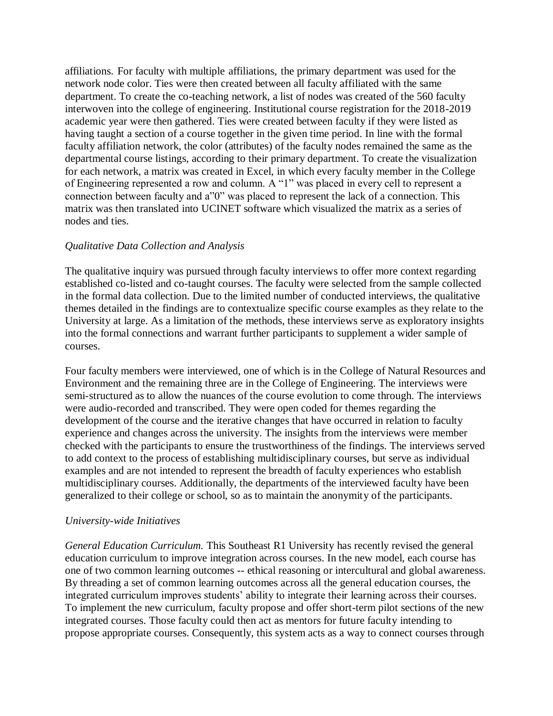affiliations. For faculty with multiple affiliations, the primary department was used for the network node color. Ties were then created between all faculty affiliated with the same department. To create the co-teaching network, a list of nodes was created of the 560 faculty interwoven into the college of engineering. Institutional course registration for the 2018-2019 academic year were then gathered. Ties were created between faculty if they were listed as having taught a section of a course together in the given time period. In line with the formal faculty affiliation network, the color (attributes) of the faculty nodes remained the same as the departmental course listings, according to their primary department. To create the visualization for each network, a matrix was created in Excel, in which every faculty member in the College of Engineering represented a row and column. A "1" was placed in every cell to represent a connection between faculty and a"0" was placed to represent the lack of a connection. This matrix was then translated into UCINET software which visualized the matrix as a series of nodes and ties.

#### *Qualitative Data Collection and Analysis*

The qualitative inquiry was pursued through faculty interviews to offer more context regarding established co-listed and co-taught courses. The faculty were selected from the sample collected in the formal data collection. Due to the limited number of conducted interviews, the qualitative themes detailed in the findings are to contextualize specific course examples as they relate to the University at large. As a limitation of the methods, these interviews serve as exploratory insights into the formal connections and warrant further participants to supplement a wider sample of courses.

Four faculty members were interviewed, one of which is in the College of Natural Resources and Environment and the remaining three are in the College of Engineering. The interviews were semi-structured as to allow the nuances of the course evolution to come through. The interviews were audio-recorded and transcribed. They were open coded for themes regarding the development of the course and the iterative changes that have occurred in relation to faculty experience and changes across the university. The insights from the interviews were member checked with the participants to ensure the trustworthiness of the findings. The interviews served to add context to the process of establishing multidisciplinary courses, but serve as individual examples and are not intended to represent the breadth of faculty experiences who establish multidisciplinary courses. Additionally, the departments of the interviewed faculty have been generalized to their college or school, so as to maintain the anonymity of the participants.

### *University-wide Initiatives*

*General Education Curriculum.* This Southeast R1 University has recently revised the general education curriculum to improve integration across courses. In the new model, each course has one of two common learning outcomes -- ethical reasoning or intercultural and global awareness. By threading a set of common learning outcomes across all the general education courses, the integrated curriculum improves students' ability to integrate their learning across their courses. To implement the new curriculum, faculty propose and offer short-term pilot sections of the new integrated courses. Those faculty could then act as mentors for future faculty intending to propose appropriate courses. Consequently, this system acts as a way to connect courses through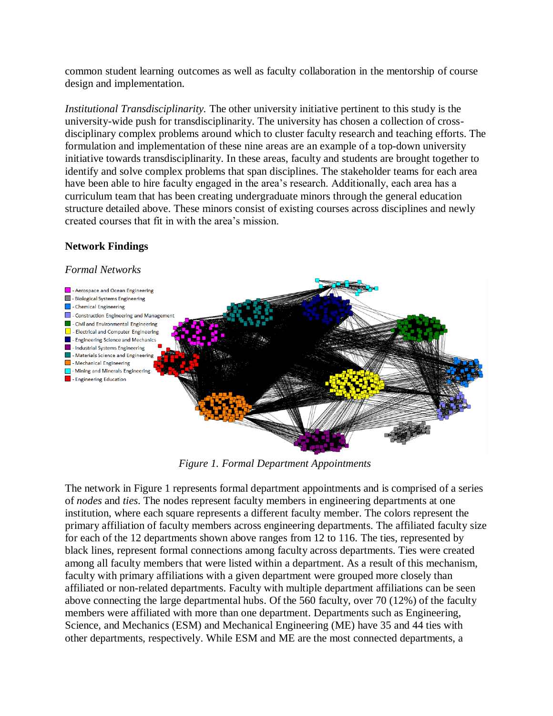common student learning outcomes as well as faculty collaboration in the mentorship of course design and implementation.

*Institutional Transdisciplinarity.* The other university initiative pertinent to this study is the university-wide push for transdisciplinarity. The university has chosen a collection of crossdisciplinary complex problems around which to cluster faculty research and teaching efforts. The formulation and implementation of these nine areas are an example of a top-down university initiative towards transdisciplinarity. In these areas, faculty and students are brought together to identify and solve complex problems that span disciplines. The stakeholder teams for each area have been able to hire faculty engaged in the area's research. Additionally, each area has a curriculum team that has been creating undergraduate minors through the general education structure detailed above. These minors consist of existing courses across disciplines and newly created courses that fit in with the area's mission.

## **Network Findings**

#### *Formal Networks*



*Figure 1. Formal Department Appointments*

The network in Figure 1 represents formal department appointments and is comprised of a series of *nodes* and *ties*. The nodes represent faculty members in engineering departments at one institution, where each square represents a different faculty member. The colors represent the primary affiliation of faculty members across engineering departments. The affiliated faculty size for each of the 12 departments shown above ranges from 12 to 116. The ties, represented by black lines, represent formal connections among faculty across departments. Ties were created among all faculty members that were listed within a department. As a result of this mechanism, faculty with primary affiliations with a given department were grouped more closely than affiliated or non-related departments. Faculty with multiple department affiliations can be seen above connecting the large departmental hubs. Of the 560 faculty, over 70 (12%) of the faculty members were affiliated with more than one department. Departments such as Engineering, Science, and Mechanics (ESM) and Mechanical Engineering (ME) have 35 and 44 ties with other departments, respectively. While ESM and ME are the most connected departments, a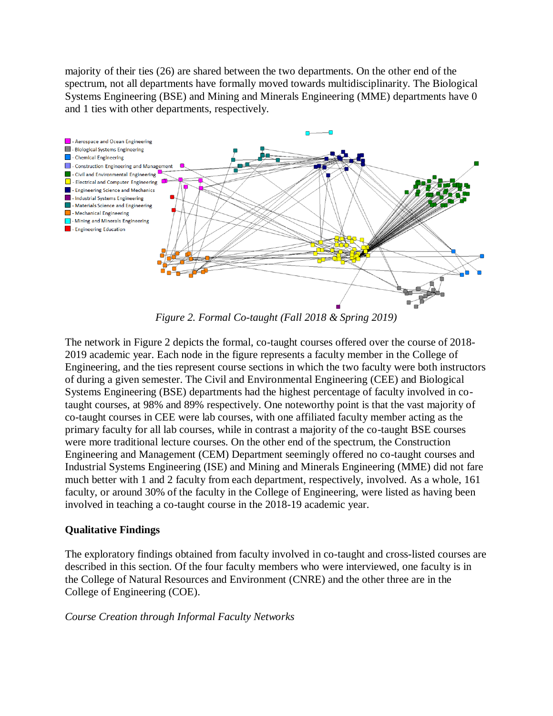majority of their ties (26) are shared between the two departments. On the other end of the spectrum, not all departments have formally moved towards multidisciplinarity. The Biological Systems Engineering (BSE) and Mining and Minerals Engineering (MME) departments have 0 and 1 ties with other departments, respectively.



*Figure 2. Formal Co-taught (Fall 2018 & Spring 2019)*

The network in Figure 2 depicts the formal, co-taught courses offered over the course of 2018- 2019 academic year. Each node in the figure represents a faculty member in the College of Engineering, and the ties represent course sections in which the two faculty were both instructors of during a given semester. The Civil and Environmental Engineering (CEE) and Biological Systems Engineering (BSE) departments had the highest percentage of faculty involved in cotaught courses, at 98% and 89% respectively. One noteworthy point is that the vast majority of co-taught courses in CEE were lab courses, with one affiliated faculty member acting as the primary faculty for all lab courses, while in contrast a majority of the co-taught BSE courses were more traditional lecture courses. On the other end of the spectrum, the Construction Engineering and Management (CEM) Department seemingly offered no co-taught courses and Industrial Systems Engineering (ISE) and Mining and Minerals Engineering (MME) did not fare much better with 1 and 2 faculty from each department, respectively, involved. As a whole, 161 faculty, or around 30% of the faculty in the College of Engineering, were listed as having been involved in teaching a co-taught course in the 2018-19 academic year.

### **Qualitative Findings**

The exploratory findings obtained from faculty involved in co-taught and cross-listed courses are described in this section. Of the four faculty members who were interviewed, one faculty is in the College of Natural Resources and Environment (CNRE) and the other three are in the College of Engineering (COE).

#### *Course Creation through Informal Faculty Networks*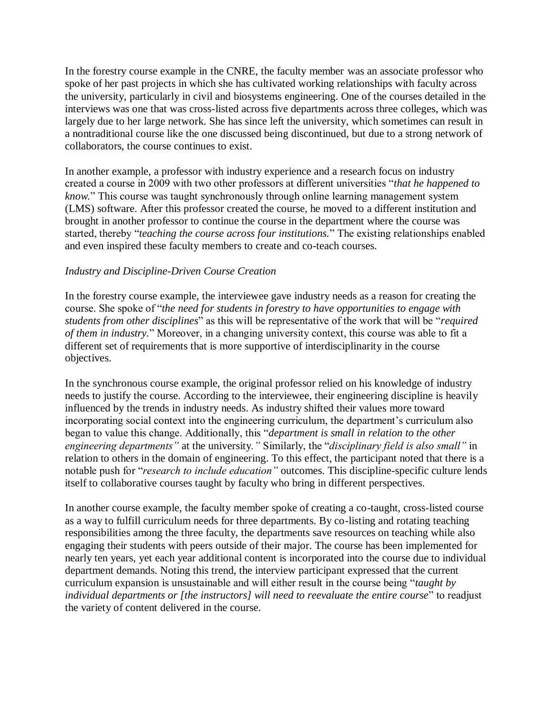In the forestry course example in the CNRE, the faculty member was an associate professor who spoke of her past projects in which she has cultivated working relationships with faculty across the university, particularly in civil and biosystems engineering. One of the courses detailed in the interviews was one that was cross-listed across five departments across three colleges, which was largely due to her large network. She has since left the university, which sometimes can result in a nontraditional course like the one discussed being discontinued, but due to a strong network of collaborators, the course continues to exist.

In another example, a professor with industry experience and a research focus on industry created a course in 2009 with two other professors at different universities "*that he happened to know.*" This course was taught synchronously through online learning management system (LMS) software. After this professor created the course, he moved to a different institution and brought in another professor to continue the course in the department where the course was started, thereby "*teaching the course across four institutions.*" The existing relationships enabled and even inspired these faculty members to create and co-teach courses.

#### *Industry and Discipline-Driven Course Creation*

In the forestry course example, the interviewee gave industry needs as a reason for creating the course. She spoke of "*the need for students in forestry to have opportunities to engage with students from other disciplines*" as this will be representative of the work that will be "*required of them in industry.*" Moreover, in a changing university context, this course was able to fit a different set of requirements that is more supportive of interdisciplinarity in the course objectives.

In the synchronous course example, the original professor relied on his knowledge of industry needs to justify the course. According to the interviewee, their engineering discipline is heavily influenced by the trends in industry needs. As industry shifted their values more toward incorporating social context into the engineering curriculum, the department's curriculum also began to value this change. Additionally, this "*department is small in relation to the other engineering departments"* at the university*."* Similarly, the "*disciplinary field is also small"* in relation to others in the domain of engineering. To this effect, the participant noted that there is a notable push for "*research to include education"* outcomes. This discipline-specific culture lends itself to collaborative courses taught by faculty who bring in different perspectives.

In another course example, the faculty member spoke of creating a co-taught, cross-listed course as a way to fulfill curriculum needs for three departments. By co-listing and rotating teaching responsibilities among the three faculty, the departments save resources on teaching while also engaging their students with peers outside of their major. The course has been implemented for nearly ten years, yet each year additional content is incorporated into the course due to individual department demands. Noting this trend, the interview participant expressed that the current curriculum expansion is unsustainable and will either result in the course being "*taught by individual departments or [the instructors] will need to reevaluate the entire course*" to readjust the variety of content delivered in the course.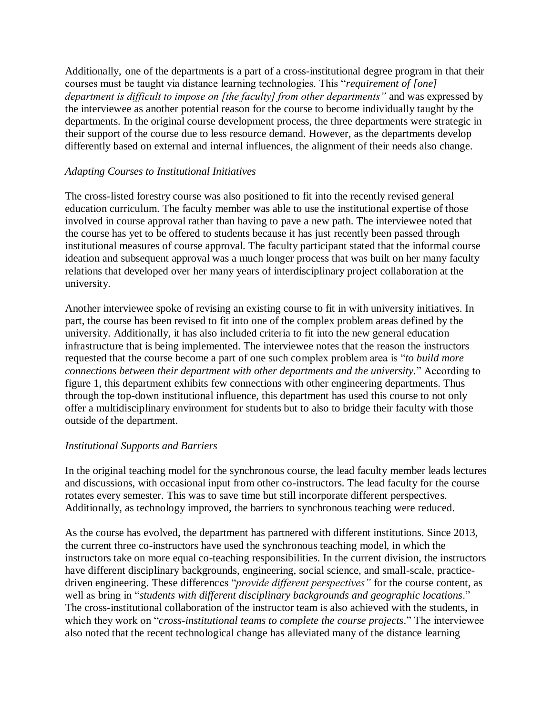Additionally, one of the departments is a part of a cross-institutional degree program in that their courses must be taught via distance learning technologies. This "*requirement of [one] department is difficult to impose on [the faculty] from other departments"* and was expressed by the interviewee as another potential reason for the course to become individually taught by the departments. In the original course development process, the three departments were strategic in their support of the course due to less resource demand. However, as the departments develop differently based on external and internal influences, the alignment of their needs also change.

#### *Adapting Courses to Institutional Initiatives*

The cross-listed forestry course was also positioned to fit into the recently revised general education curriculum. The faculty member was able to use the institutional expertise of those involved in course approval rather than having to pave a new path. The interviewee noted that the course has yet to be offered to students because it has just recently been passed through institutional measures of course approval. The faculty participant stated that the informal course ideation and subsequent approval was a much longer process that was built on her many faculty relations that developed over her many years of interdisciplinary project collaboration at the university.

Another interviewee spoke of revising an existing course to fit in with university initiatives. In part, the course has been revised to fit into one of the complex problem areas defined by the university. Additionally, it has also included criteria to fit into the new general education infrastructure that is being implemented. The interviewee notes that the reason the instructors requested that the course become a part of one such complex problem area is "*to build more connections between their department with other departments and the university.*" According to figure 1, this department exhibits few connections with other engineering departments. Thus through the top-down institutional influence, this department has used this course to not only offer a multidisciplinary environment for students but to also to bridge their faculty with those outside of the department.

#### *Institutional Supports and Barriers*

In the original teaching model for the synchronous course, the lead faculty member leads lectures and discussions, with occasional input from other co-instructors. The lead faculty for the course rotates every semester. This was to save time but still incorporate different perspectives. Additionally, as technology improved, the barriers to synchronous teaching were reduced.

As the course has evolved, the department has partnered with different institutions. Since 2013, the current three co-instructors have used the synchronous teaching model, in which the instructors take on more equal co-teaching responsibilities. In the current division, the instructors have different disciplinary backgrounds, engineering, social science, and small-scale, practicedriven engineering. These differences "*provide different perspectives"* for the course content, as well as bring in "*students with different disciplinary backgrounds and geographic locations*." The cross-institutional collaboration of the instructor team is also achieved with the students, in which they work on "*cross-institutional teams to complete the course projects*." The interviewee also noted that the recent technological change has alleviated many of the distance learning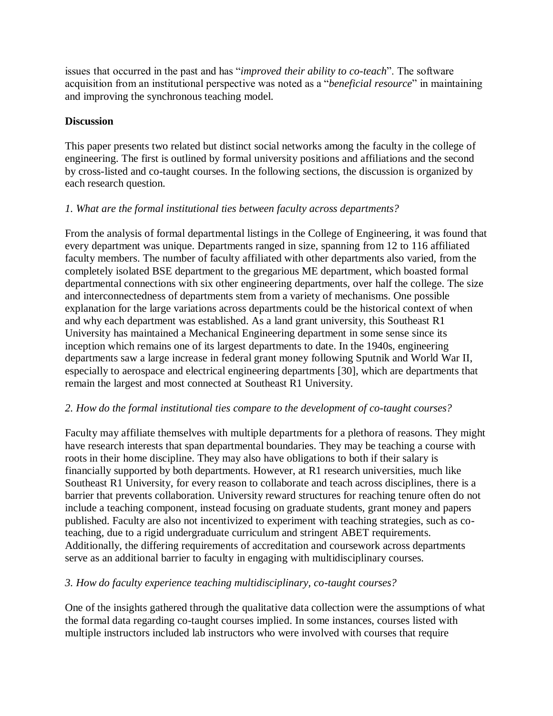issues that occurred in the past and has "*improved their ability to co-teach*". The software acquisition from an institutional perspective was noted as a "*beneficial resource*" in maintaining and improving the synchronous teaching model.

### **Discussion**

This paper presents two related but distinct social networks among the faculty in the college of engineering. The first is outlined by formal university positions and affiliations and the second by cross-listed and co-taught courses. In the following sections, the discussion is organized by each research question.

### *1. What are the formal institutional ties between faculty across departments?*

From the analysis of formal departmental listings in the College of Engineering, it was found that every department was unique. Departments ranged in size, spanning from 12 to 116 affiliated faculty members. The number of faculty affiliated with other departments also varied, from the completely isolated BSE department to the gregarious ME department, which boasted formal departmental connections with six other engineering departments, over half the college. The size and interconnectedness of departments stem from a variety of mechanisms. One possible explanation for the large variations across departments could be the historical context of when and why each department was established. As a land grant university, this Southeast R1 University has maintained a Mechanical Engineering department in some sense since its inception which remains one of its largest departments to date. In the 1940s, engineering departments saw a large increase in federal grant money following Sputnik and World War II, especially to aerospace and electrical engineering departments [30], which are departments that remain the largest and most connected at Southeast R1 University.

### *2. How do the formal institutional ties compare to the development of co-taught courses?*

Faculty may affiliate themselves with multiple departments for a plethora of reasons. They might have research interests that span departmental boundaries. They may be teaching a course with roots in their home discipline. They may also have obligations to both if their salary is financially supported by both departments. However, at R1 research universities, much like Southeast R1 University, for every reason to collaborate and teach across disciplines, there is a barrier that prevents collaboration. University reward structures for reaching tenure often do not include a teaching component, instead focusing on graduate students, grant money and papers published. Faculty are also not incentivized to experiment with teaching strategies, such as coteaching, due to a rigid undergraduate curriculum and stringent ABET requirements. Additionally, the differing requirements of accreditation and coursework across departments serve as an additional barrier to faculty in engaging with multidisciplinary courses.

# *3. How do faculty experience teaching multidisciplinary, co-taught courses?*

One of the insights gathered through the qualitative data collection were the assumptions of what the formal data regarding co-taught courses implied. In some instances, courses listed with multiple instructors included lab instructors who were involved with courses that require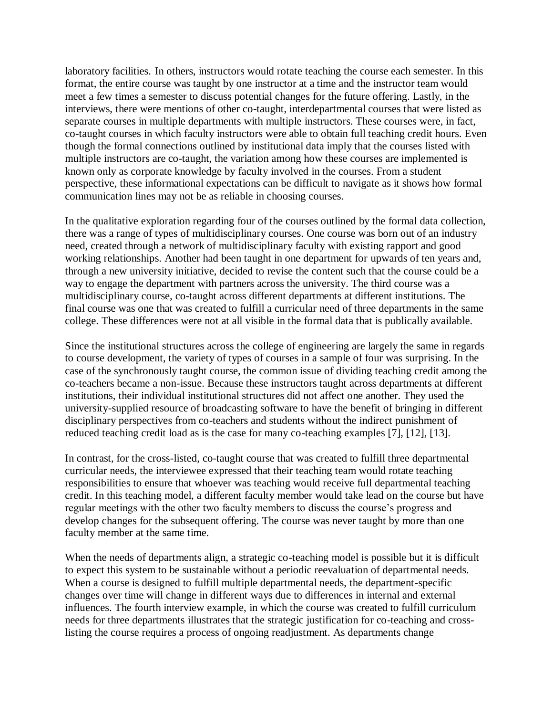laboratory facilities. In others, instructors would rotate teaching the course each semester. In this format, the entire course was taught by one instructor at a time and the instructor team would meet a few times a semester to discuss potential changes for the future offering. Lastly, in the interviews, there were mentions of other co-taught, interdepartmental courses that were listed as separate courses in multiple departments with multiple instructors. These courses were, in fact, co-taught courses in which faculty instructors were able to obtain full teaching credit hours. Even though the formal connections outlined by institutional data imply that the courses listed with multiple instructors are co-taught, the variation among how these courses are implemented is known only as corporate knowledge by faculty involved in the courses. From a student perspective, these informational expectations can be difficult to navigate as it shows how formal communication lines may not be as reliable in choosing courses.

In the qualitative exploration regarding four of the courses outlined by the formal data collection, there was a range of types of multidisciplinary courses. One course was born out of an industry need, created through a network of multidisciplinary faculty with existing rapport and good working relationships. Another had been taught in one department for upwards of ten years and, through a new university initiative, decided to revise the content such that the course could be a way to engage the department with partners across the university. The third course was a multidisciplinary course, co-taught across different departments at different institutions. The final course was one that was created to fulfill a curricular need of three departments in the same college. These differences were not at all visible in the formal data that is publically available.

Since the institutional structures across the college of engineering are largely the same in regards to course development, the variety of types of courses in a sample of four was surprising. In the case of the synchronously taught course, the common issue of dividing teaching credit among the co-teachers became a non-issue. Because these instructors taught across departments at different institutions, their individual institutional structures did not affect one another. They used the university-supplied resource of broadcasting software to have the benefit of bringing in different disciplinary perspectives from co-teachers and students without the indirect punishment of reduced teaching credit load as is the case for many co-teaching examples [7], [12], [13].

In contrast, for the cross-listed, co-taught course that was created to fulfill three departmental curricular needs, the interviewee expressed that their teaching team would rotate teaching responsibilities to ensure that whoever was teaching would receive full departmental teaching credit. In this teaching model, a different faculty member would take lead on the course but have regular meetings with the other two faculty members to discuss the course's progress and develop changes for the subsequent offering. The course was never taught by more than one faculty member at the same time.

When the needs of departments align, a strategic co-teaching model is possible but it is difficult to expect this system to be sustainable without a periodic reevaluation of departmental needs. When a course is designed to fulfill multiple departmental needs, the department-specific changes over time will change in different ways due to differences in internal and external influences. The fourth interview example, in which the course was created to fulfill curriculum needs for three departments illustrates that the strategic justification for co-teaching and crosslisting the course requires a process of ongoing readjustment. As departments change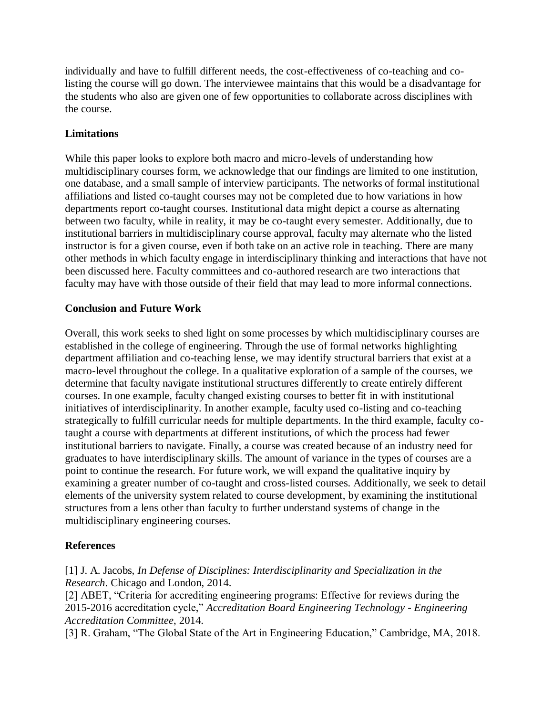individually and have to fulfill different needs, the cost-effectiveness of co-teaching and colisting the course will go down. The interviewee maintains that this would be a disadvantage for the students who also are given one of few opportunities to collaborate across disciplines with the course.

#### **Limitations**

While this paper looks to explore both macro and micro-levels of understanding how multidisciplinary courses form, we acknowledge that our findings are limited to one institution, one database, and a small sample of interview participants. The networks of formal institutional affiliations and listed co-taught courses may not be completed due to how variations in how departments report co-taught courses. Institutional data might depict a course as alternating between two faculty, while in reality, it may be co-taught every semester. Additionally, due to institutional barriers in multidisciplinary course approval, faculty may alternate who the listed instructor is for a given course, even if both take on an active role in teaching. There are many other methods in which faculty engage in interdisciplinary thinking and interactions that have not been discussed here. Faculty committees and co-authored research are two interactions that faculty may have with those outside of their field that may lead to more informal connections.

#### **Conclusion and Future Work**

Overall, this work seeks to shed light on some processes by which multidisciplinary courses are established in the college of engineering. Through the use of formal networks highlighting department affiliation and co-teaching lense, we may identify structural barriers that exist at a macro-level throughout the college. In a qualitative exploration of a sample of the courses, we determine that faculty navigate institutional structures differently to create entirely different courses. In one example, faculty changed existing courses to better fit in with institutional initiatives of interdisciplinarity. In another example, faculty used co-listing and co-teaching strategically to fulfill curricular needs for multiple departments. In the third example, faculty cotaught a course with departments at different institutions, of which the process had fewer institutional barriers to navigate. Finally, a course was created because of an industry need for graduates to have interdisciplinary skills. The amount of variance in the types of courses are a point to continue the research. For future work, we will expand the qualitative inquiry by examining a greater number of co-taught and cross-listed courses. Additionally, we seek to detail elements of the university system related to course development, by examining the institutional structures from a lens other than faculty to further understand systems of change in the multidisciplinary engineering courses.

### **References**

[1] J. A. Jacobs, *In Defense of Disciplines: Interdisciplinarity and Specialization in the Research*. Chicago and London, 2014.

[2] ABET, "Criteria for accrediting engineering programs: Effective for reviews during the 2015-2016 accreditation cycle," *Accreditation Board Engineering Technology - Engineering Accreditation Committee*, 2014.

[3] R. Graham, "The Global State of the Art in Engineering Education," Cambridge, MA, 2018.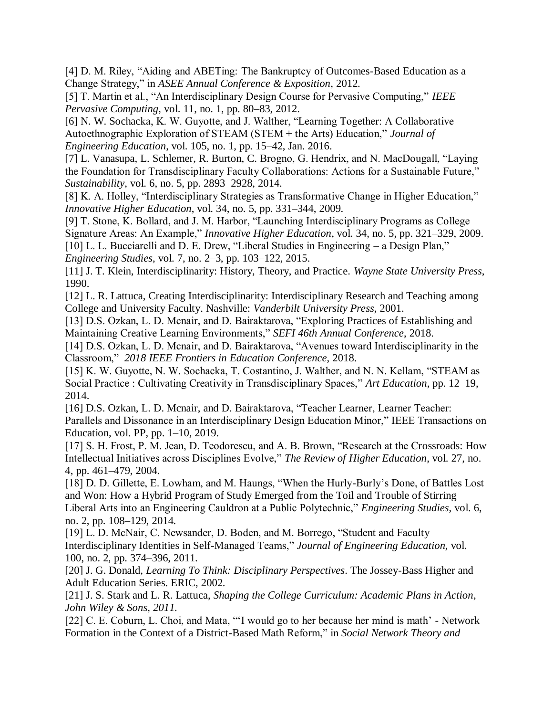[4] D. M. Riley, "Aiding and ABETing: The Bankruptcy of Outcomes-Based Education as a Change Strategy," in *ASEE Annual Conference & Exposition*, 2012.

[5] T. Martin et al., "An Interdisciplinary Design Course for Pervasive Computing," *IEEE Pervasive Computing*, vol. 11, no. 1, pp. 80–83, 2012.

[6] N. W. Sochacka, K. W. Guyotte, and J. Walther, "Learning Together: A Collaborative Autoethnographic Exploration of STEAM (STEM + the Arts) Education," *Journal of Engineering Education*, vol. 105, no. 1, pp. 15–42, Jan. 2016.

[7] L. Vanasupa, L. Schlemer, R. Burton, C. Brogno, G. Hendrix, and N. MacDougall, "Laying the Foundation for Transdisciplinary Faculty Collaborations: Actions for a Sustainable Future," *Sustainability*, vol. 6, no. 5, pp. 2893–2928, 2014.

[8] K. A. Holley, "Interdisciplinary Strategies as Transformative Change in Higher Education," *Innovative Higher Education*, vol. 34, no. 5, pp. 331–344, 2009.

[9] T. Stone, K. Bollard, and J. M. Harbor, "Launching Interdisciplinary Programs as College Signature Areas: An Example," *Innovative Higher Education*, vol. 34, no. 5, pp. 321–329, 2009. [10] L. L. Bucciarelli and D. E. Drew, "Liberal Studies in Engineering – a Design Plan," *Engineering Studies*, vol. 7, no. 2–3, pp. 103–122, 2015.

[11] J. T. Klein, Interdisciplinarity: History, Theory, and Practice. *Wayne State University Press*, 1990.

[12] L. R. Lattuca, Creating Interdisciplinarity: Interdisciplinary Research and Teaching among College and University Faculty. Nashville: *Vanderbilt University Press*, 2001.

[13] D.S. Ozkan, L. D. Mcnair, and D. Bairaktarova, "Exploring Practices of Establishing and Maintaining Creative Learning Environments," *SEFI 46th Annual Conference*, 2018.

[14] D.S. Ozkan, L. D. Mcnair, and D. Bairaktarova, "Avenues toward Interdisciplinarity in the Classroom," *2018 IEEE Frontiers in Education Conference*, 2018.

[15] K. W. Guyotte, N. W. Sochacka, T. Costantino, J. Walther, and N. N. Kellam, "STEAM as Social Practice : Cultivating Creativity in Transdisciplinary Spaces," *Art Education*, pp. 12–19, 2014.

[16] D.S. Ozkan, L. D. Mcnair, and D. Bairaktarova, "Teacher Learner, Learner Teacher: Parallels and Dissonance in an Interdisciplinary Design Education Minor," IEEE Transactions on Education, vol. PP, pp. 1–10, 2019.

[17] S. H. Frost, P. M. Jean, D. Teodorescu, and A. B. Brown, "Research at the Crossroads: How Intellectual Initiatives across Disciplines Evolve," *The Review of Higher Education*, vol. 27, no. 4, pp. 461–479, 2004.

[18] D. D. Gillette, E. Lowham, and M. Haungs, "When the Hurly-Burly's Done, of Battles Lost and Won: How a Hybrid Program of Study Emerged from the Toil and Trouble of Stirring Liberal Arts into an Engineering Cauldron at a Public Polytechnic," *Engineering Studies*, vol. 6, no. 2, pp. 108–129, 2014.

[19] L. D. McNair, C. Newsander, D. Boden, and M. Borrego, "Student and Faculty Interdisciplinary Identities in Self-Managed Teams," *Journal of Engineering Education*, vol. 100, no. 2, pp. 374–396, 2011.

[20] J. G. Donald, *Learning To Think: Disciplinary Perspectives*. The Jossey-Bass Higher and Adult Education Series. ERIC, 2002.

[21] J. S. Stark and L. R. Lattuca, *Shaping the College Curriculum: Academic Plans in Action*, *John Wiley & Sons, 2011.*

[22] C. E. Coburn, L. Choi, and Mata, "'I would go to her because her mind is math' - Network Formation in the Context of a District-Based Math Reform," in *Social Network Theory and*